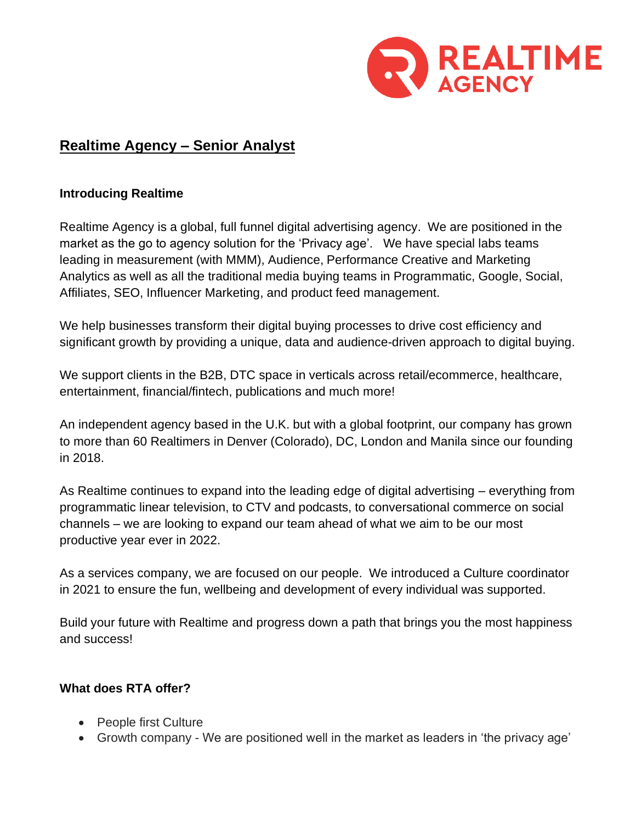

# **Realtime Agency – Senior Analyst**

#### **Introducing Realtime**

Realtime Agency is a global, full funnel digital advertising agency. We are positioned in the market as the go to agency solution for the 'Privacy age'. We have special labs teams leading in measurement (with MMM), Audience, Performance Creative and Marketing Analytics as well as all the traditional media buying teams in Programmatic, Google, Social, Affiliates, SEO, Influencer Marketing, and product feed management.

We help businesses transform their digital buying processes to drive cost efficiency and significant growth by providing a unique, data and audience-driven approach to digital buying.

We support clients in the B2B, DTC space in verticals across retail/ecommerce, healthcare, entertainment, financial/fintech, publications and much more!

An independent agency based in the U.K. but with a global footprint, our company has grown to more than 60 Realtimers in Denver (Colorado), DC, London and Manila since our founding in 2018.

As Realtime continues to expand into the leading edge of digital advertising – everything from programmatic linear television, to CTV and podcasts, to conversational commerce on social channels – we are looking to expand our team ahead of what we aim to be our most productive year ever in 2022.

As a services company, we are focused on our people. We introduced a Culture coordinator in 2021 to ensure the fun, wellbeing and development of every individual was supported.

Build your future with Realtime and progress down a path that brings you the most happiness and success!

## **What does RTA offer?**

- People first Culture
- Growth company We are positioned well in the market as leaders in 'the privacy age'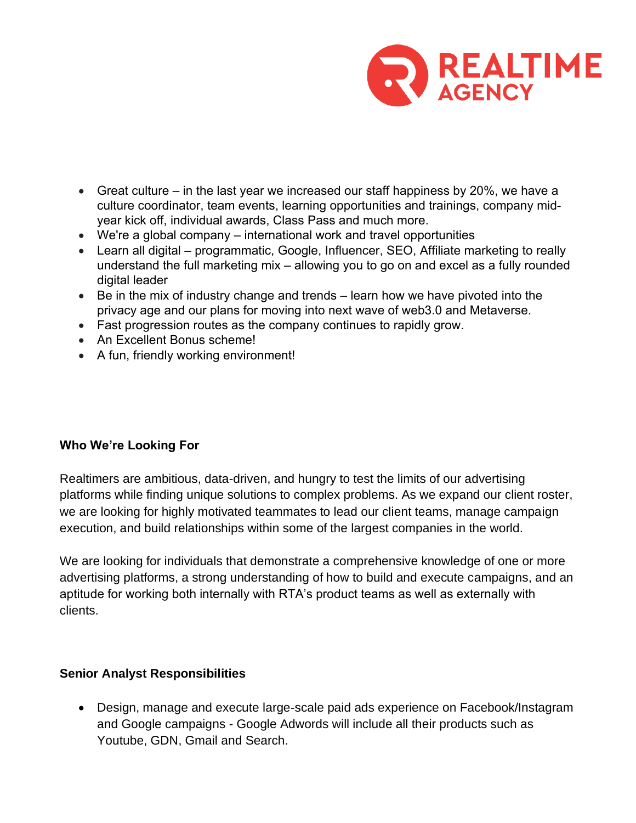

- Great culture in the last year we increased our staff happiness by 20%, we have a culture coordinator, team events, learning opportunities and trainings, company midyear kick off, individual awards, Class Pass and much more.
- We're a global company international work and travel opportunities
- Learn all digital programmatic, Google, Influencer, SEO, Affiliate marketing to really understand the full marketing mix – allowing you to go on and excel as a fully rounded digital leader
- Be in the mix of industry change and trends learn how we have pivoted into the privacy age and our plans for moving into next wave of web3.0 and Metaverse.
- Fast progression routes as the company continues to rapidly grow.
- An Excellent Bonus scheme!
- A fun, friendly working environment!

## **Who We're Looking For**

Realtimers are ambitious, data-driven, and hungry to test the limits of our advertising platforms while finding unique solutions to complex problems. As we expand our client roster, we are looking for highly motivated teammates to lead our client teams, manage campaign execution, and build relationships within some of the largest companies in the world.

We are looking for individuals that demonstrate a comprehensive knowledge of one or more advertising platforms, a strong understanding of how to build and execute campaigns, and an aptitude for working both internally with RTA's product teams as well as externally with clients.

#### **Senior Analyst Responsibilities**

• Design, manage and execute large-scale paid ads experience on Facebook/Instagram and Google campaigns - Google Adwords will include all their products such as Youtube, GDN, Gmail and Search.